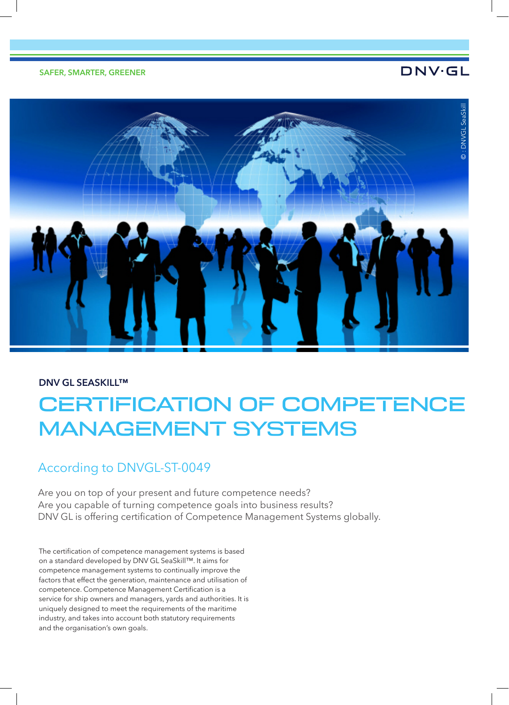# **DNV·GL**



## **DNV GL SEASKILL™**

# CERTIFICATION OF COMPETENCE MANAGEMENT SYSTEMS

## According to DNVGL-ST-0049

Are you on top of your present and future competence needs? Are you capable of turning competence goals into business results? DNV GL is offering certification of Competence Management Systems globally.

The certification of competence management systems is based on a standard developed by DNV GL SeaSkill™. It aims for competence management systems to continually improve the factors that effect the generation, maintenance and utilisation of competence. Competence Management Certification is a service for ship owners and managers, yards and authorities. It is uniquely designed to meet the requirements of the maritime industry, and takes into account both statutory requirements and the organisation's own goals.